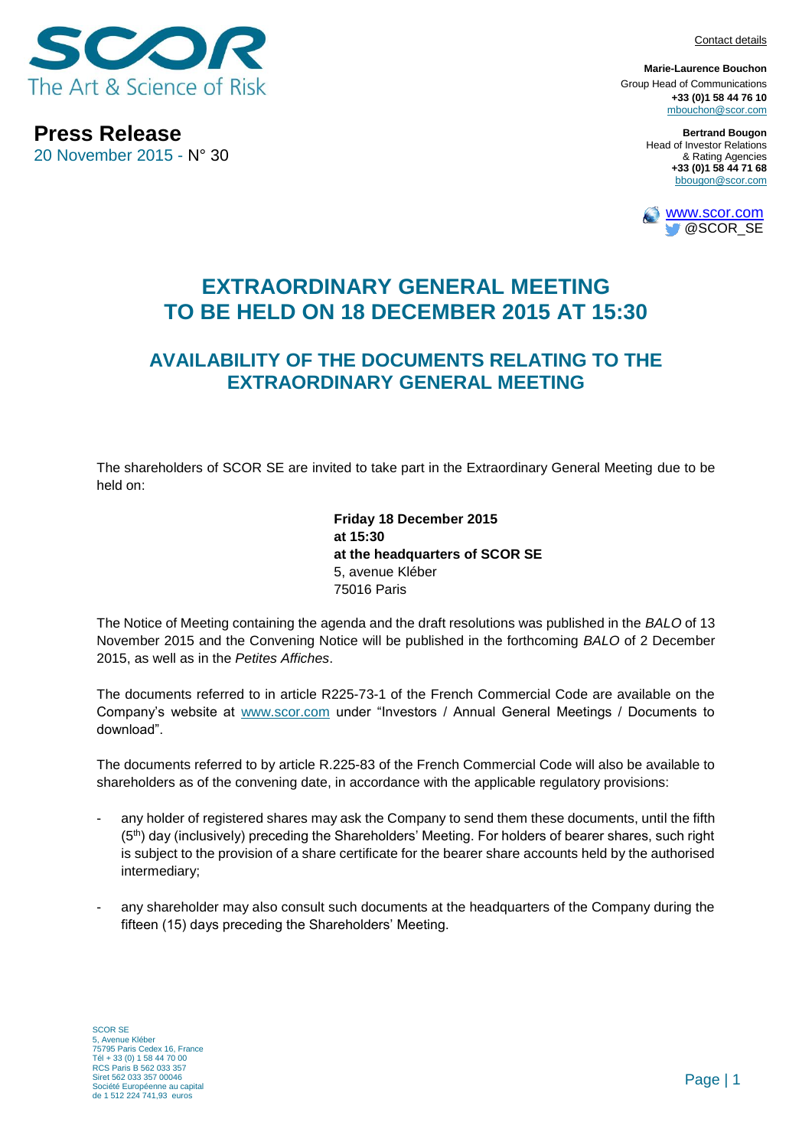Contact details



**Press Release** 20 November 2015 - N° 30

**Marie-Laurence Bouchon** Group Head of Communications **+33 (0)1 58 44 76 10** [mbouchon@scor.com](mailto:mbouchon@scor.com)

> **Bertrand Bougon** Head of Investor Relations & Rating Agencies **+33 (0)1 58 44 71 68** bbougon@scor.com



## **EXTRAORDINARY GENERAL MEETING TO BE HELD ON 18 DECEMBER 2015 AT 15:30**

## **AVAILABILITY OF THE DOCUMENTS RELATING TO THE EXTRAORDINARY GENERAL MEETING**

The shareholders of SCOR SE are invited to take part in the Extraordinary General Meeting due to be held on:

> **Friday 18 December 2015 at 15:30 at the headquarters of SCOR SE** 5, avenue Kléber 75016 Paris

The Notice of Meeting containing the agenda and the draft resolutions was published in the *BALO* of 13 November 2015 and the Convening Notice will be published in the forthcoming *BALO* of 2 December 2015, as well as in the *Petites Affiches*.

The documents referred to in article R225-73-1 of the French Commercial Code are available on the Company's website at [www.scor.com](http://www.scor.com/) under "Investors / Annual General Meetings / Documents to download".

The documents referred to by article R.225-83 of the French Commercial Code will also be available to shareholders as of the convening date, in accordance with the applicable regulatory provisions:

- any holder of registered shares may ask the Company to send them these documents, until the fifth (5th) day (inclusively) preceding the Shareholders' Meeting. For holders of bearer shares, such right is subject to the provision of a share certificate for the bearer share accounts held by the authorised intermediary;
- any shareholder may also consult such documents at the headquarters of the Company during the fifteen (15) days preceding the Shareholders' Meeting.